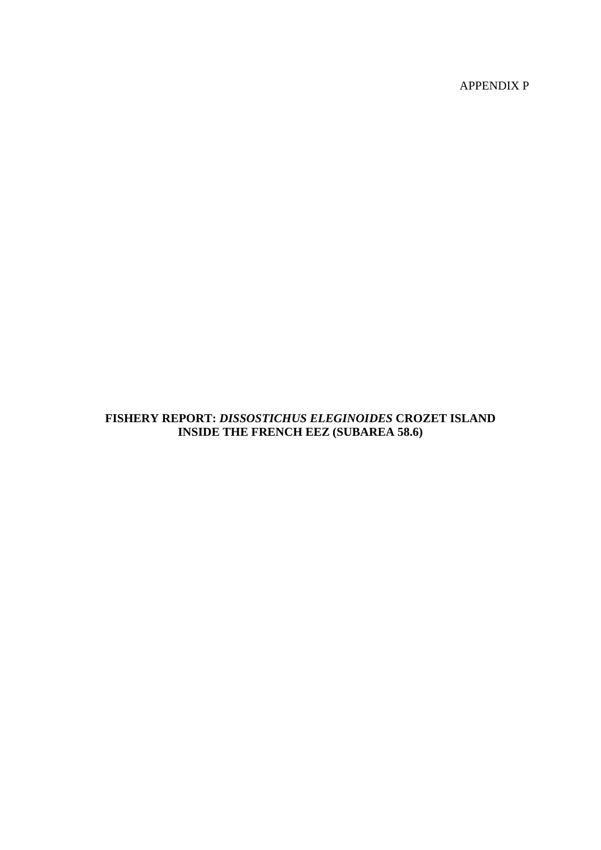APPENDIX P

## **FISHERY REPORT:** *DISSOSTICHUS ELEGINOIDES* **CROZET ISLAND INSIDE THE FRENCH EEZ (SUBAREA 58.6)**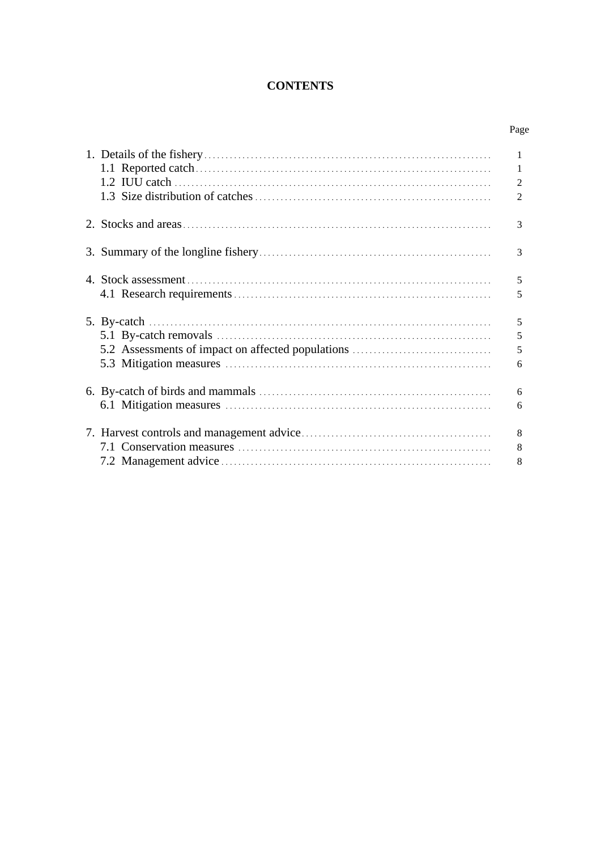# **CONTENTS**

Page

|                                                                                                                                                                              | 1<br>1<br>2<br>$\overline{2}$ |
|------------------------------------------------------------------------------------------------------------------------------------------------------------------------------|-------------------------------|
|                                                                                                                                                                              | 3                             |
|                                                                                                                                                                              | 3                             |
|                                                                                                                                                                              | 5<br>5                        |
| 5. By-catch $\ldots$ $\ldots$ $\ldots$ $\ldots$ $\ldots$ $\ldots$ $\ldots$ $\ldots$ $\ldots$ $\ldots$ $\ldots$ $\ldots$<br>5.2 Assessments of impact on affected populations | 5<br>5<br>5<br>6              |
|                                                                                                                                                                              | 6<br>6                        |
|                                                                                                                                                                              | 8<br>8<br>8                   |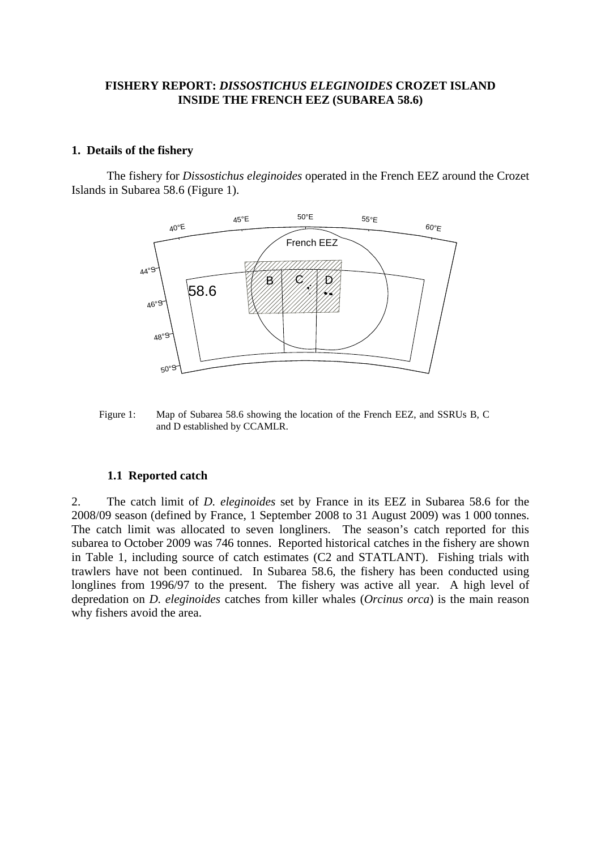### <span id="page-2-0"></span>**FISHERY REPORT:** *DISSOSTICHUS ELEGINOIDES* **CROZET ISLAND INSIDE THE FRENCH EEZ (SUBAREA 58.6)**

#### **1. Details of the fishery**

 The fishery for *Dissostichus eleginoides* operated in the French EEZ around the Crozet Islands in Subarea 58.6 (Figure 1).



Figure 1: Map of Subarea 58.6 showing the location of the French EEZ, and SSRUs B, C and D established by CCAMLR.

#### **1.1 Reported catch**

2. The catch limit of *D. eleginoides* set by France in its EEZ in Subarea 58.6 for the 2008/09 season (defined by France, 1 September 2008 to 31 August 2009) was 1 000 tonnes. The catch limit was allocated to seven longliners. The season's catch reported for this subarea to October 2009 was 746 tonnes. Reported historical catches in the fishery are shown in Table 1, including source of catch estimates (C2 and STATLANT). Fishing trials with trawlers have not been continued. In Subarea 58.6, the fishery has been conducted using longlines from 1996/97 to the present. The fishery was active all year. A high level of depredation on *D. eleginoides* catches from killer whales (*Orcinus orca*) is the main reason why fishers avoid the area.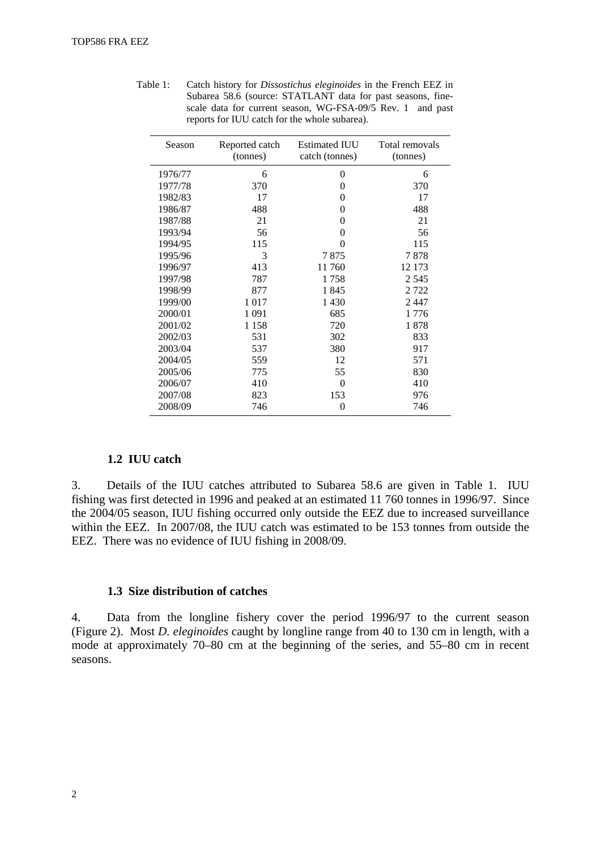| Season  | Reported catch<br>(tonnes) | <b>Estimated IUU</b><br>catch (tonnes) | Total removals<br>(tonnes) |
|---------|----------------------------|----------------------------------------|----------------------------|
| 1976/77 | 6                          | 0                                      | 6                          |
| 1977/78 | 370                        | $\theta$                               | 370                        |
| 1982/83 | 17                         | 0                                      | 17                         |
| 1986/87 | 488                        | 0                                      | 488                        |
| 1987/88 | 21                         | 0                                      | 21                         |
| 1993/94 | 56                         | 0                                      | 56                         |
| 1994/95 | 115                        | 0                                      | 115                        |
| 1995/96 | 3                          | 7875                                   | 7878                       |
| 1996/97 | 413                        | 11760                                  | 12 173                     |
| 1997/98 | 787                        | 1758                                   | 2 5 4 5                    |
| 1998/99 | 877                        | 1845                                   | 2722                       |
| 1999/00 | 1017                       | 1 4 3 0                                | 2447                       |
| 2000/01 | 1 0 9 1                    | 685                                    | 1776                       |
| 2001/02 | 1 1 5 8                    | 720                                    | 1878                       |
| 2002/03 | 531                        | 302                                    | 833                        |
| 2003/04 | 537                        | 380                                    | 917                        |
| 2004/05 | 559                        | 12                                     | 571                        |
| 2005/06 | 775                        | 55                                     | 830                        |
| 2006/07 | 410                        | $\Omega$                               | 410                        |
| 2007/08 | 823                        | 153                                    | 976                        |
| 2008/09 | 746                        | 0                                      | 746                        |

<span id="page-3-0"></span>Table 1: Catch history for *Dissostichus eleginoides* in the French EEZ in Subarea 58.6 (source: STATLANT data for past seasons, finescale data for current season, WG-FSA-09/5 Rev. 1 and past reports for IUU catch for the whole subarea).

## **1.2 IUU catch**

3. Details of the IUU catches attributed to Subarea 58.6 are given in Table 1. IUU fishing was first detected in 1996 and peaked at an estimated 11 760 tonnes in 1996/97. Since the 2004/05 season, IUU fishing occurred only outside the EEZ due to increased surveillance within the EEZ. In 2007/08, the IUU catch was estimated to be 153 tonnes from outside the EEZ. There was no evidence of IUU fishing in 2008/09.

#### **1.3 Size distribution of catches**

4. Data from the longline fishery cover the period 1996/97 to the current season (Figure 2). Most *D. eleginoides* caught by longline range from 40 to 130 cm in length, with a mode at approximately 70–80 cm at the beginning of the series, and 55–80 cm in recent seasons.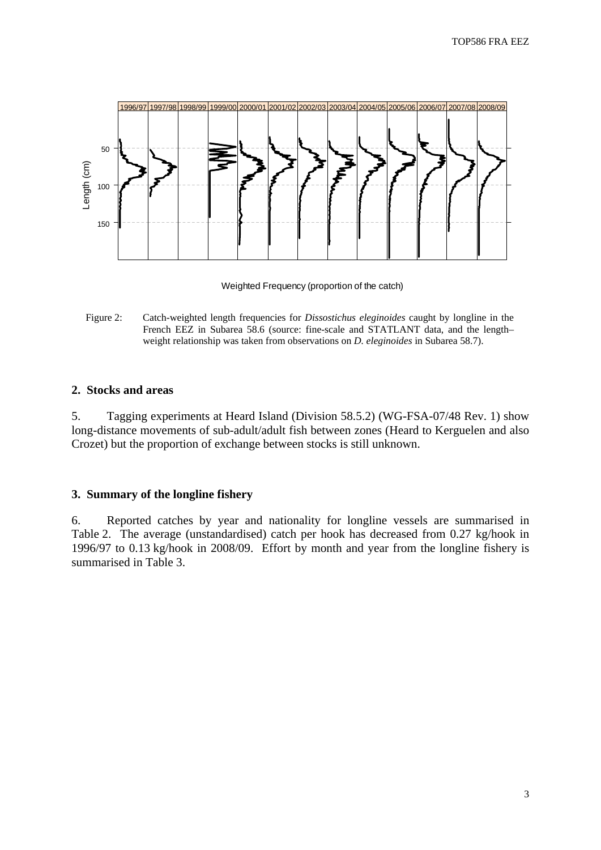<span id="page-4-0"></span>

Weighted Frequency (proportion of the catch)

Figure 2: Catch-weighted length frequencies for *Dissostichus eleginoides* caught by longline in the French EEZ in Subarea 58.6 (source: fine-scale and STATLANT data, and the lengthweight relationship was taken from observations on *D. eleginoides* in Subarea 58.7).

### **2. Stocks and areas**

5. Tagging experiments at Heard Island (Division 58.5.2) (WG-FSA-07/48 Rev. 1) show long-distance movements of sub-adult/adult fish between zones (Heard to Kerguelen and also Crozet) but the proportion of exchange between stocks is still unknown.

### **3. Summary of the longline fishery**

6. Reported catches by year and nationality for longline vessels are summarised in Table 2. The average (unstandardised) catch per hook has decreased from 0.27 kg/hook in 1996/97 to 0.13 kg/hook in 2008/09. Effort by month and year from the longline fishery is summarised in Table 3.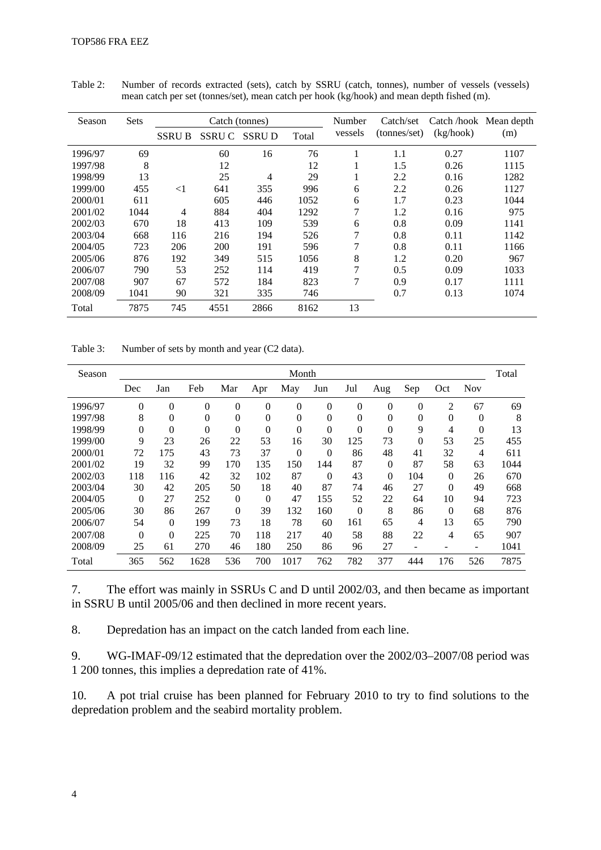| Season  | <b>Sets</b> | Catch (tonnes) |              |              |       | Number        | Catch/set    | Catch /hook Mean depth |      |
|---------|-------------|----------------|--------------|--------------|-------|---------------|--------------|------------------------|------|
|         |             | <b>SSRU B</b>  | <b>SSRUC</b> | <b>SSRUD</b> | Total | vessels       | (tonnes/set) | (kg/hook)              | (m)  |
| 1996/97 | 69          |                | 60           | 16           | 76    |               | 1.1          | 0.27                   | 1107 |
| 1997/98 | 8           |                | 12           |              | 12    |               | 1.5          | 0.26                   | 1115 |
| 1998/99 | 13          |                | 25           | 4            | 29    |               | 2.2          | 0.16                   | 1282 |
| 1999/00 | 455         | $\leq$ 1       | 641          | 355          | 996   | 6             | 2.2          | 0.26                   | 1127 |
| 2000/01 | 611         |                | 605          | 446          | 1052  | 6             | 1.7          | 0.23                   | 1044 |
| 2001/02 | 1044        | 4              | 884          | 404          | 1292  | 7             | 1.2          | 0.16                   | 975  |
| 2002/03 | 670         | 18             | 413          | 109          | 539   | 6             | 0.8          | 0.09                   | 1141 |
| 2003/04 | 668         | 116            | 216          | 194          | 526   | 7             | 0.8          | 0.11                   | 1142 |
| 2004/05 | 723         | 206            | 200          | 191          | 596   | 7             | 0.8          | 0.11                   | 1166 |
| 2005/06 | 876         | 192            | 349          | 515          | 1056  | 8             | 1.2          | 0.20                   | 967  |
| 2006/07 | 790         | 53             | 252          | 114          | 419   | $\mathcal{I}$ | 0.5          | 0.09                   | 1033 |
| 2007/08 | 907         | 67             | 572          | 184          | 823   | 7             | 0.9          | 0.17                   | 1111 |
| 2008/09 | 1041        | 90             | 321          | 335          | 746   |               | 0.7          | 0.13                   | 1074 |
| Total   | 7875        | 745            | 4551         | 2866         | 8162  | 13            |              |                        |      |

Table 2: Number of records extracted (sets), catch by SSRU (catch, tonnes), number of vessels (vessels) mean catch per set (tonnes/set), mean catch per hook (kg/hook) and mean depth fished (m).

Table 3: Number of sets by month and year (C2 data).

| Season  |          |          |                |              |                | Month          |                |                |          |          |              |                          | Total |
|---------|----------|----------|----------------|--------------|----------------|----------------|----------------|----------------|----------|----------|--------------|--------------------------|-------|
|         | Dec      | Jan      | Feb            | Mar          | Apr            | May            | Jun            | Jul            | Aug      | Sep      | Oct          | <b>Nov</b>               |       |
| 1996/97 | $\Omega$ | $\theta$ | $\overline{0}$ | $\theta$     | 0              | $\Omega$       | $\overline{0}$ | $\overline{0}$ | 0        | $\theta$ | 2            | 67                       | 69    |
| 1997/98 | 8        | $\theta$ | $\overline{0}$ | $\theta$     | $\theta$       | $\theta$       | $\overline{0}$ | $\overline{0}$ | 0        | $\theta$ | $\mathbf{0}$ | $\theta$                 | 8     |
| 1998/99 | $\Omega$ | $\theta$ | $\theta$       | $\theta$     | $\overline{0}$ | $\theta$       | $\overline{0}$ | $\theta$       | $\theta$ | 9        | 4            | $\theta$                 | 13    |
| 1999/00 | 9        | 23       | 26             | 22           | 53             | 16             | 30             | 125            | 73       | $\theta$ | 53           | 25                       | 455   |
| 2000/01 | 72       | 175      | 43             | 73           | 37             | $\overline{0}$ | $\theta$       | 86             | 48       | 41       | 32           | 4                        | 611   |
| 2001/02 | 19       | 32       | 99             | 170          | 135            | 150            | 144            | 87             | 0        | 87       | 58           | 63                       | 1044  |
| 2002/03 | 118      | 116      | 42             | 32           | 102            | 87             | $\Omega$       | 43             | $\theta$ | 104      | $\theta$     | 26                       | 670   |
| 2003/04 | 30       | 42       | 205            | 50           | 18             | 40             | 87             | 74             | 46       | 27       | $\Omega$     | 49                       | 668   |
| 2004/05 | $\Omega$ | 27       | 252            | $\mathbf{0}$ | $\theta$       | 47             | 155            | 52             | 22       | 64       | 10           | 94                       | 723   |
| 2005/06 | 30       | 86       | 267            | $\theta$     | 39             | 132            | 160            | $\Omega$       | 8        | 86       | $\Omega$     | 68                       | 876   |
| 2006/07 | 54       | $\theta$ | 199            | 73           | 18             | 78             | 60             | 161            | 65       | 4        | 13           | 65                       | 790   |
| 2007/08 | $\Omega$ | $\theta$ | 225            | 70           | 118            | 217            | 40             | 58             | 88       | 22       | 4            | 65                       | 907   |
| 2008/09 | 25       | 61       | 270            | 46           | 180            | 250            | 86             | 96             | 27       | -        |              | $\overline{\phantom{0}}$ | 1041  |
| Total   | 365      | 562      | 1628           | 536          | 700            | 1017           | 762            | 782            | 377      | 444      | 176          | 526                      | 7875  |

7. The effort was mainly in SSRUs C and D until 2002/03, and then became as important in SSRU B until 2005/06 and then declined in more recent years.

8. Depredation has an impact on the catch landed from each line.

9. WG-IMAF-09/12 estimated that the depredation over the 2002/03–2007/08 period was 1 200 tonnes, this implies a depredation rate of 41%.

10. A pot trial cruise has been planned for February 2010 to try to find solutions to the depredation problem and the seabird mortality problem.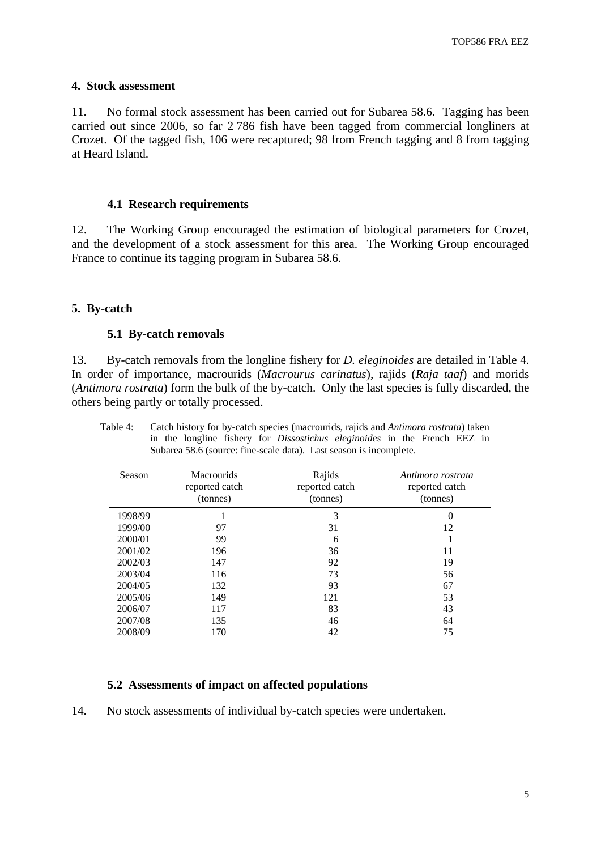### <span id="page-6-0"></span>**4. Stock assessment**

11. No formal stock assessment has been carried out for Subarea 58.6. Tagging has been carried out since 2006, so far 2 786 fish have been tagged from commercial longliners at Crozet. Of the tagged fish, 106 were recaptured; 98 from French tagging and 8 from tagging at Heard Island.

#### **4.1 Research requirements**

12. The Working Group encouraged the estimation of biological parameters for Crozet, and the development of a stock assessment for this area. The Working Group encouraged France to continue its tagging program in Subarea 58.6.

### **5. By-catch**

#### **5.1 By-catch removals**

13. By-catch removals from the longline fishery for *D. eleginoides* are detailed in Table 4. In order of importance, macrourids (*Macrourus carinatus*), rajids (*Raja taaf*) and morids (*Antimora rostrata*) form the bulk of the by-catch. Only the last species is fully discarded, the others being partly or totally processed.

| Season  | Macrourids<br>reported catch<br>(tonnes) | Rajids<br>reported catch<br>(tonnes) | Antimora rostrata<br>reported catch<br>(tonnes) |
|---------|------------------------------------------|--------------------------------------|-------------------------------------------------|
| 1998/99 |                                          | 3                                    | 0                                               |
| 1999/00 | 97                                       | 31                                   | 12                                              |
| 2000/01 | 99                                       | 6                                    |                                                 |
| 2001/02 | 196                                      | 36                                   | 11                                              |
| 2002/03 | 147                                      | 92                                   | 19                                              |
| 2003/04 | 116                                      | 73                                   | 56                                              |
| 2004/05 | 132                                      | 93                                   | 67                                              |
| 2005/06 | 149                                      | 121                                  | 53                                              |
| 2006/07 | 117                                      | 83                                   | 43                                              |
| 2007/08 | 135                                      | 46                                   | 64                                              |
| 2008/09 | 170                                      | 42                                   | 75                                              |

Table 4: Catch history for by-catch species (macrourids, rajids and *Antimora rostrata*) taken in the longline fishery for *Dissostichus eleginoides* in the French EEZ in Subarea 58.6 (source: fine-scale data). Last season is incomplete.

### **5.2 Assessments of impact on affected populations**

14. No stock assessments of individual by-catch species were undertaken.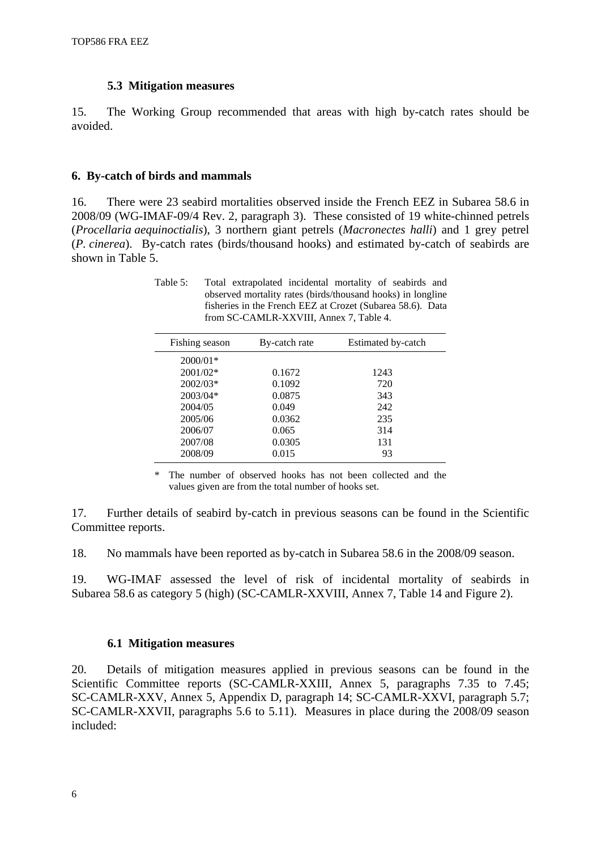#### **5.3 Mitigation measures**

<span id="page-7-0"></span>15. The Working Group recommended that areas with high by-catch rates should be avoided.

#### **6. By-catch of birds and mammals**

16. There were 23 seabird mortalities observed inside the French EEZ in Subarea 58.6 in 2008/09 (WG-IMAF-09/4 Rev. 2, paragraph 3). These consisted of 19 white-chinned petrels (*Procellaria aequinoctialis*), 3 northern giant petrels (*Macronectes halli*) and 1 grey petrel (*P. cinerea*). By-catch rates (birds/thousand hooks) and estimated by-catch of seabirds are shown in Table 5.

Table 5: Total extrapolated incidental mortality of seabirds and observed mortality rates (birds/thousand hooks) in longline fisheries in the French EEZ at Crozet (Subarea 58.6). Data from SC-CAMLR-XXVIII, Annex 7, Table 4.

| Fishing season | By-catch rate | Estimated by-catch |
|----------------|---------------|--------------------|
| $2000/01*$     |               |                    |
| 2001/02*       | 0.1672        | 1243               |
| $2002/03*$     | 0.1092        | 720                |
| $2003/04*$     | 0.0875        | 343                |
| 2004/05        | 0.049         | 242                |
| 2005/06        | 0.0362        | 235                |
| 2006/07        | 0.065         | 314                |
| 2007/08        | 0.0305        | 131                |
| 2008/09        | 0.015         | 93                 |

\* The number of observed hooks has not been collected and the values given are from the total number of hooks set.

17. Further details of seabird by-catch in previous seasons can be found in the Scientific Committee reports.

18. No mammals have been reported as by-catch in Subarea 58.6 in the 2008/09 season.

19. WG-IMAF assessed the level of risk of incidental mortality of seabirds in Subarea 58.6 as category 5 (high) (SC-CAMLR-XXVIII, Annex 7, Table 14 and Figure 2).

#### **6.1 Mitigation measures**

20. Details of mitigation measures applied in previous seasons can be found in the Scientific Committee reports (SC-CAMLR-XXIII, Annex 5, paragraphs 7.35 to 7.45; SC-CAMLR-XXV, Annex 5, Appendix D, paragraph 14; SC-CAMLR-XXVI, paragraph 5.7; SC-CAMLR-XXVII, paragraphs 5.6 to 5.11). Measures in place during the 2008/09 season included: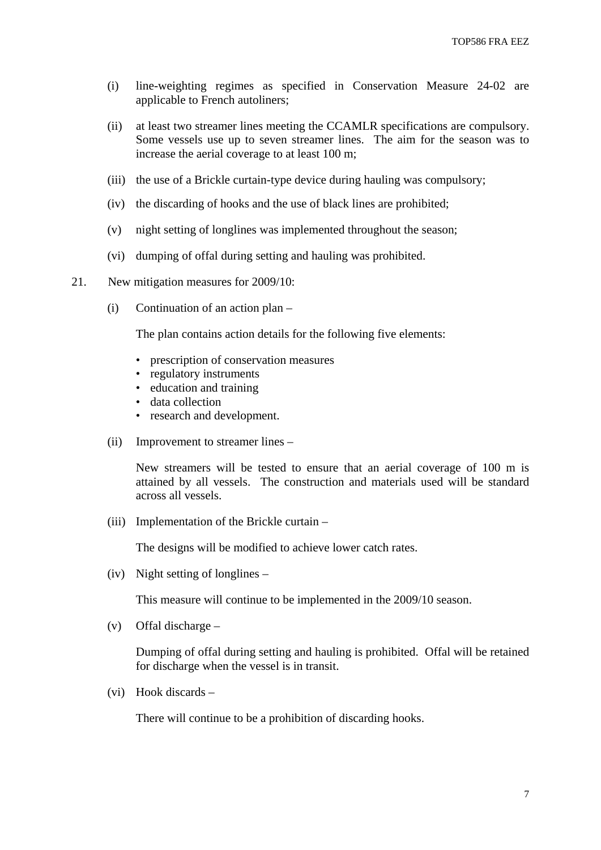- (i) line-weighting regimes as specified in Conservation Measure 24-02 are applicable to French autoliners;
- (ii) at least two streamer lines meeting the CCAMLR specifications are compulsory. Some vessels use up to seven streamer lines. The aim for the season was to increase the aerial coverage to at least 100 m;
- (iii) the use of a Brickle curtain-type device during hauling was compulsory;
- (iv) the discarding of hooks and the use of black lines are prohibited;
- (v) night setting of longlines was implemented throughout the season;
- (vi) dumping of offal during setting and hauling was prohibited.
- 21. New mitigation measures for 2009/10:
	- (i) Continuation of an action plan –

The plan contains action details for the following five elements:

- prescription of conservation measures
- regulatory instruments
- education and training
- data collection
- research and development.
- (ii) Improvement to streamer lines –

 New streamers will be tested to ensure that an aerial coverage of 100 m is attained by all vessels. The construction and materials used will be standard across all vessels.

(iii) Implementation of the Brickle curtain –

The designs will be modified to achieve lower catch rates.

(iv) Night setting of longlines –

This measure will continue to be implemented in the 2009/10 season.

(v) Offal discharge –

 Dumping of offal during setting and hauling is prohibited. Offal will be retained for discharge when the vessel is in transit.

(vi) Hook discards –

There will continue to be a prohibition of discarding hooks.